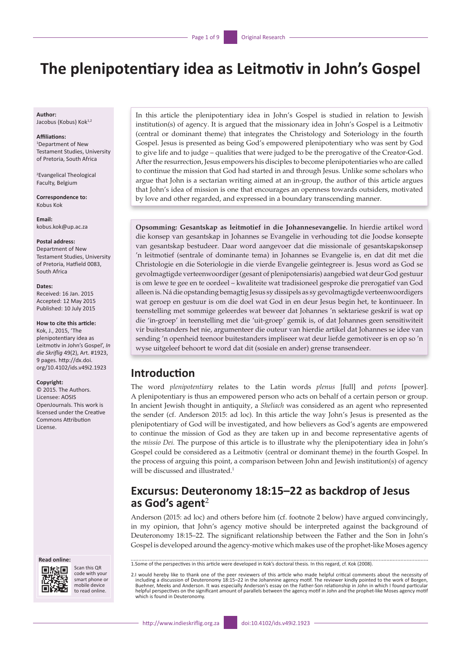# **The plenipotentiary idea as Leitmotiv in John's Gospel**

#### **Author:** Jacobus (Kobus) Kok<sup>1,2</sup>

#### **Affiliations:**

1 Department of New Testament Studies, University of Pretoria, South Africa

2 Evangelical Theological Faculty, Belgium

**Correspondence to:** Kobus Kok

**Email:** [kobus.kok@up.ac.za](mailto:kobus.kok@up.ac.za)

#### **Postal address:**

Department of New Testament Studies, University of Pretoria, Hatfield 0083, South Africa

#### **Dates:**

Received: 16 Jan. 2015 Accepted: 12 May 2015 Published: 10 July 2015

#### **How to cite this article:**

Kok, J., 2015, 'The plenipotentiary idea as Leitmotiv in John's Gospel', *In die Skriflig* 49(2), Art. #1923, 9 pages. [http://dx.doi.](http://dx.doi.org/10.4102/ids.v49i2.1923) [org/10.4102/ids.v49i2.1923](http://dx.doi.org/10.4102/ids.v49i2.1923)

#### **Copyright:**

© 2015. The Authors. Licensee: AOSIS OpenJournals. This work is licensed under the Creative Commons Attribution License.





Scan this QR code with your smart phone or mobile device to read online.

In this article the plenipotentiary idea in John's Gospel is studied in relation to Jewish institution(s) of agency. It is argued that the missionary idea in John's Gospel is a Leitmotiv (central or dominant theme) that integrates the Christology and Soteriology in the fourth Gospel. Jesus is presented as being God's empowered plenipotentiary who was sent by God to give life and to judge – qualities that were judged to be the prerogative of the Creator-God. After the resurrection, Jesus empowers his disciples to become plenipotentiaries who are called to continue the mission that God had started in and through Jesus. Unlike some scholars who argue that John is a sectarian writing aimed at an in-group, the author of this article argues that John's idea of mission is one that encourages an openness towards outsiders, motivated by love and other regarded, and expressed in a boundary transcending manner.

**Opsomming: Gesantskap as leitmotief in die Johannesevangelie.** In hierdie artikel word die konsep van gesantskap in Johannes se Evangelie in verhouding tot die Joodse konsepte van gesantskap bestudeer. Daar word aangevoer dat die missionale of gesantskapskonsep 'n leitmotief (sentrale of dominante tema) in Johannes se Evangelie is, en dat dit met die Christologie en die Soteriologie in die vierde Evangelie geïntegreer is. Jesus word as God se gevolmagtigde verteenwoordiger (gesant of plenipotensiaris) aangebied wat deur God gestuur is om lewe te gee en te oordeel – kwaliteite wat tradisioneel gesproke die prerogatief van God alleen is. Ná die opstanding bemagtig Jesus sy dissipels as sy gevolmagtigde verteenwoordigers wat geroep en gestuur is om die doel wat God in en deur Jesus begin het, te kontinueer. In teenstelling met sommige geleerdes wat beweer dat Johannes 'n sektariese geskrif is wat op die 'in-groep' in teenstelling met die 'uit-groep' gemik is, of dat Johannes geen sensitiwiteit vir buitestanders het nie, argumenteer die outeur van hierdie artikel dat Johannes se idee van sending 'n openheid teenoor buitestanders impliseer wat deur liefde gemotiveer is en op so 'n wyse uitgeleef behoort te word dat dit (sosiale en ander) grense transendeer.

### **Introduction**

The word *plenipotentiary* relates to the Latin words *plenus* [full] and *potens* [power]. A plenipotentiary is thus an empowered person who acts on behalf of a certain person or group. In ancient Jewish thought in antiquity, a *Sheliach* was considered as an agent who represented the sender (cf. Anderson 2015: ad loc). In this article the way John's Jesus is presented as the plenipotentiary of God will be investigated, and how believers as God's agents are empowered to continue the mission of God as they are taken up in and become representative agents of the *missio Dei.* The purpose of this article is to illustrate why the plenipotentiary idea in John's Gospel could be considered as a Leitmotiv (central or dominant theme) in the fourth Gospel. In the process of arguing this point, a comparison between John and Jewish institution(s) of agency will be discussed and illustrated.<sup>1</sup>

## **Excursus: Deuteronomy 18:15–22 as backdrop of Jesus**  as God's agent<sup>2</sup>

Anderson (2015: ad loc) and others before him (cf. footnote 2 below) have argued convincingly, in my opinion, that John's agency motive should be interpreted against the background of Deuteronomy 18:15–22. The significant relationship between the Father and the Son in John's Gospel is developed around the agency-motive which makes use of the prophet-like Moses agency

1.Some of the perspectives in this article were developed in Kok's doctoral thesis. In this regard, cf. Kok (2008). 

<sup>2.</sup>I would hereby like to thank one of the peer reviewers of this article who made helpful critical comments about the necessity of including a discussion of Deuteronomy 18:15–22 in the Johannine agency motif. The reviewer kindly pointed to the work of Borgen, Buehner, Meeks and Anderson. It was especially Anderson's essay on the Father-Son relationship in John in which I found particular<br>helpful perspectives on the significant amount of parallels between the agency motif in Joh which is found in Deuteronomy.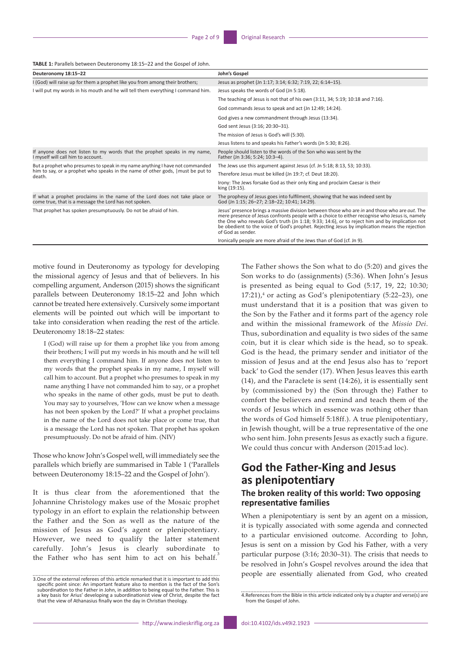**TABLE 1:** Parallels between Deuteronomy 18:15–22 and the Gospel of John.

| Deuteronomy 18:15-22                                                                                                                                                      | John's Gospel                                                                                                                                                                                                                                                                                                                                                                                                           |
|---------------------------------------------------------------------------------------------------------------------------------------------------------------------------|-------------------------------------------------------------------------------------------------------------------------------------------------------------------------------------------------------------------------------------------------------------------------------------------------------------------------------------------------------------------------------------------------------------------------|
| I (God) will raise up for them a prophet like you from among their brothers;                                                                                              | Jesus as prophet (Jn 1:17; 3:14; 6:32; 7:19, 22; 6:14-15).                                                                                                                                                                                                                                                                                                                                                              |
| I will put my words in his mouth and he will tell them everything I command him.                                                                                          | Jesus speaks the words of God (Jn 5:18).                                                                                                                                                                                                                                                                                                                                                                                |
|                                                                                                                                                                           | The teaching of Jesus is not that of his own $(3:11, 34; 5:19; 10:18$ and $7:16$ ).                                                                                                                                                                                                                                                                                                                                     |
|                                                                                                                                                                           | God commands Jesus to speak and act (Jn 12:49; 14:24).                                                                                                                                                                                                                                                                                                                                                                  |
|                                                                                                                                                                           | God gives a new commandment through Jesus (13:34).                                                                                                                                                                                                                                                                                                                                                                      |
|                                                                                                                                                                           | God sent Jesus (3:16; 20:30-31).                                                                                                                                                                                                                                                                                                                                                                                        |
|                                                                                                                                                                           | The mission of Jesus is God's will (5:30).                                                                                                                                                                                                                                                                                                                                                                              |
|                                                                                                                                                                           | Jesus listens to and speaks his Father's words (Jn 5:30; 8:26).                                                                                                                                                                                                                                                                                                                                                         |
| If anyone does not listen to my words that the prophet speaks in my name,<br>I myself will call him to account.                                                           | People should listen to the words of the Son who was sent by the<br>Father (Jn 3:36; 5:24; 10:3-4).                                                                                                                                                                                                                                                                                                                     |
| But a prophet who presumes to speak in my name anything I have not commanded<br>him to say, or a prophet who speaks in the name of other gods,   must be put to<br>death. | The Jews use this argument against Jesus (cf. Jn 5:18; 8:13, 53; 10:33).                                                                                                                                                                                                                                                                                                                                                |
|                                                                                                                                                                           | Therefore Jesus must be killed (Jn 19:7; cf. Deut 18:20).                                                                                                                                                                                                                                                                                                                                                               |
|                                                                                                                                                                           | Irony: The Jews forsake God as their only King and proclaim Caesar is their<br>king (19:15).                                                                                                                                                                                                                                                                                                                            |
| If what a prophet proclaims in the name of the Lord does not take place or<br>come true, that is a message the Lord has not spoken.                                       | The prophesy of Jesus goes into fulfilment, showing that he was indeed sent by<br>God (Jn 1:15; 26-27; 2:18-22; 10:41; 14:29).                                                                                                                                                                                                                                                                                          |
| That prophet has spoken presumptuously. Do not be afraid of him.                                                                                                          | Jesus' presence brings a massive division between those who are in and those who are out. The<br>mere presence of Jesus confronts people with a choice to either recognise who Jesus is, namely<br>the One who reveals God's truth (Jn 1:18; 9:33; 14:6), or to reject him and by implication not<br>be obedient to the voice of God's prophet. Rejecting Jesus by implication means the rejection<br>of God as sender. |
|                                                                                                                                                                           | Ironically people are more afraid of the Jews than of God (cf. Jn 9).                                                                                                                                                                                                                                                                                                                                                   |

motive found in Deuteronomy as typology for developing the missional agency of Jesus and that of believers. In his compelling argument, Anderson (2015) shows the significant parallels between Deuteronomy 18:15–22 and John which cannot be treated here extensively. Cursively some important elements will be pointed out which will be important to take into consideration when reading the rest of the article. Deuteronomy 18:18–22 states:

I (God) will raise up for them a prophet like you from among their brothers; I will put my words in his mouth and he will tell them everything I command him. If anyone does not listen to my words that the prophet speaks in my name, I myself will call him to account. But a prophet who presumes to speak in my name anything I have not commanded him to say, or a prophet who speaks in the name of other gods, must be put to death. You may say to yourselves, 'How can we know when a message has not been spoken by the Lord?' If what a prophet proclaims in the name of the Lord does not take place or come true, that is a message the Lord has not spoken. That prophet has spoken presumptuously. Do not be afraid of him. (NIV)

Those who know John's Gospel well, will immediately see the parallels which briefly are summarised in Table 1 ('Parallels between Deuteronomy 18:15–22 and the Gospel of John').

It is thus clear from the aforementioned that the Johannine Christology makes use of the Mosaic prophet typology in an effort to explain the relationship between the Father and the Son as well as the nature of the mission of Jesus as God's agent or plenipotentiary. However, we need to qualify the latter statement carefully. John's Jesus is clearly subordinate to the Father who has sent him to act on his behalf.

The Father shows the Son what to do (5:20) and gives the Son works to do (assignments) (5:36). When John's Jesus is presented as being equal to God (5:17, 19, 22; 10:30;  $17:21$ ,<sup>4</sup> or acting as God's plenipotentiary (5:22–23), one must understand that it is a position that was given to the Son by the Father and it forms part of the agency role and within the missional framework of the *Missio Dei*. Thus, subordination and equality is two sides of the same coin, but it is clear which side is the head, so to speak. God is the head, the primary sender and initiator of the mission of Jesus and at the end Jesus also has to 'report back' to God the sender (17). When Jesus leaves this earth (14), and the Paraclete is sent (14:26), it is essentially sent by (commissioned by) the (Son through the) Father to comfort the believers and remind and teach them of the words of Jesus which in essence was nothing other than the words of God himself 5:18ff.). A true plenipotentiary, in Jewish thought, will be a true representative of the one who sent him. John presents Jesus as exactly such a figure. We could thus concur with Anderson (2015:ad loc).

# **God the Father-King and Jesus as plenipotentiary**

### **The broken reality of this world: Two opposing representative families**

When a plenipotentiary is sent by an agent on a mission, it is typically associated with some agenda and connected to a particular envisioned outcome. According to John, Jesus is sent on a mission by God his Father, with a very particular purpose (3:16; 20:30–31). The crisis that needs to be resolved in John's Gospel revolves around the idea that people are essentially alienated from God, who created

<sup>3.</sup>One of the external referees of this article remarked that it is important to add this specific point since: An important feature also to mention is the fact of the Son's subordination to the Father in John, in addition to being equal to the Father. This is a key basis for Arius' developing a subordinationist view of Christ, despite the fact that the view of Athanasius finally won the day in Christian theology.

<sup>4.</sup>References from the Bible in this article indicated only by a chapter and verse(s) are from the Gospel of John.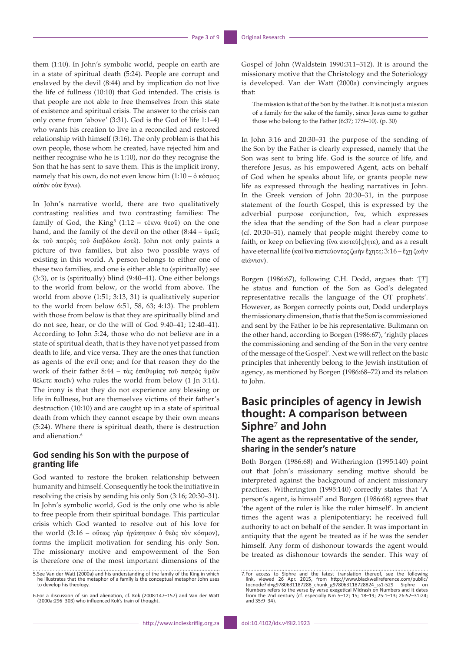them (1:10). In John's symbolic world, people on earth are in a state of spiritual death (5:24). People are corrupt and enslaved by the devil (8:44) and by implication do not live the life of fullness (10:10) that God intended. The crisis is that people are not able to free themselves from this state of existence and spiritual crisis. The answer to the crisis can only come from 'above' (3:31). God is the God of life 1:1–4) who wants his creation to live in a reconciled and restored relationship with himself (3:16). The only problem is that his own people, those whom he created, have rejected him and neither recognise who he is 1:10), nor do they recognise the Son that he has sent to save them. This is the implicit irony, namely that his own, do not even know him (1:10 – ὁ κόσμος αὐτὸν οὐκ ἔγνω).

In John's narrative world, there are two qualitatively contrasting realities and two contrasting families: The family of God, the King5 (1:12 – τέκνα θεοῦ) on the one hand, and the family of the devil on the other (8:44 – ὑμεῖς ἐκ τοῦ πατρὸς τοῦ διαβόλου ἐστὲ). John not only paints a picture of two families, but also two possible ways of existing in this world. A person belongs to either one of these two families, and one is either able to (spiritually) see (3:3), or is (spiritually) blind (9:40–41). One either belongs to the world from below, or the world from above. The world from above (1:51; 3:13, 31) is qualitatively superior to the world from below 6:51, 58, 63; 4:13). The problem with those from below is that they are spiritually blind and do not see, hear, or do the will of God 9:40–41; 12:40–41). According to John 5:24, those who do not believe are in a state of spiritual death, that is they have not yet passed from death to life, and vice versa. They are the ones that function as agents of the evil one; and for that reason they do the work of their father 8:44 – τὰς ἐπιθυμίας τοῦ πατρὸς ὑμῶν θέλετε ποιεῖν) who rules the world from below (1 Jn 3:14). The irony is that they do not experience any blessing or life in fullness, but are themselves victims of their father's destruction (10:10) and are caught up in a state of spiritual death from which they cannot escape by their own means (5:24). Where there is spiritual death, there is destruction and alienation.<sup>6</sup>

### **God sending his Son with the purpose of granting life**

God wanted to restore the broken relationship between humanity and himself. Consequently he took the initiative in resolving the crisis by sending his only Son (3:16; 20:30–31). In John's symbolic world, God is the only one who is able to free people from their spiritual bondage. This particular crisis which God wanted to resolve out of his love for the world (3:16 – οὕτως γὰρ ἠγάπησεν ὁ θεὸς τὸν κόσμον), forms the implicit motivation for sending his only Son. The missionary motive and empowerment of the Son is therefore one of the most important dimensions of the

5.See Van der Watt (2000a) and his understanding of the family of the King in which he illustrates that the metaphor of a family is the conceptual metaphor John uses to develop his theology.

6.For a discussion of sin and alienation, cf. Kok (2008:147–157) and Van der Watt (2000a:296–303) who influenced Kok's train of thought.

Gospel of John (Waldstein 1990:311–312). It is around the missionary motive that the Christology and the Soteriology is developed. Van der Watt (2000a) convincingly argues that:

The mission is that of the Son by the Father. It is not just a mission of a family for the sake of the family, since Jesus came to gather those who belong to the Father (6:37; 17:9–10). (p. 30)

In John 3:16 and 20:30–31 the purpose of the sending of the Son by the Father is clearly expressed, namely that the Son was sent to bring life. God is the source of life, and therefore Jesus, as his empowered Agent, acts on behalf of God when he speaks about life, or grants people new life as expressed through the healing narratives in John. In the Greek version of John 20:30–31, in the purpose statement of the fourth Gospel, this is expressed by the adverbial purpose conjunction, ἵνα, which expresses the idea that the sending of the Son had a clear purpose (cf. 20:30–31), namely that people might thereby come to faith, or keep on believing (ἵνα πιστεύ[ς]ητε), and as a result have eternal life (καὶ ἵνα πιστεύοντες ζωὴν ἔχητε; 3:16 – ἔχῃ ζωὴν αἰώνιον).

Borgen (1986:67), following C.H. Dodd, argues that: '[*T*] he status and function of the Son as God's delegated representative recalls the language of the OT prophets'. However, as Borgen correctly points out, Dodd underplays the missionary dimension, that is that the Son is commissioned and sent by the Father to be his representative. Bultmann on the other hand, according to Borgen (1986:67), 'rightly places the commissioning and sending of the Son in the very centre of the message of the Gospel'. Next we will reflect on the basic principles that inherently belong to the Jewish institution of agency, as mentioned by Borgen (1986:68–72) and its relation to John.

# **Basic principles of agency in Jewish thought: A comparison between Siphre**7 **and John**

### **The agent as the representative of the sender, sharing in the sender's nature**

Both Borgen (1986:68) and Witherington (1995:140) point out that John's missionary sending motive should be interpreted against the background of ancient missionary practices. Witherington (1995:140) correctly states that 'A person's agent, is himself' and Borgen (1986:68) agrees that 'the agent of the ruler is like the ruler himself'. In ancient times the agent was a plenipotentiary; he received full authority to act on behalf of the sender. It was important in antiquity that the agent be treated as if he was the sender himself. Any form of dishonour towards the agent would be treated as dishonour towards the sender. This way of

<sup>7.</sup>For access to Siphre and the latest translation thereof, see the following link, viewed 26 Apr. 2015, from [http://www.blackwellreference.com/public/](http://www.blackwellreference.com/public/tocnode? id=g9780631187288_chunk_g978063118728824_ss1-529)<br>[tocnode?id=g9780631187288\\_chunk\\_g978063118728824\\_ss1-529](http://www.blackwellreference.com/public/tocnode? id=g9780631187288_chunk_g978063118728824_ss1-529) Siphre<br>Numbers refers to the verse by verse exegetical Midrash on Numbers and it dates from the 2nd century (cf. especially Nm 5–12; 15; 18–19; 25:1–13; 26:52–31:24; and 35:9–34).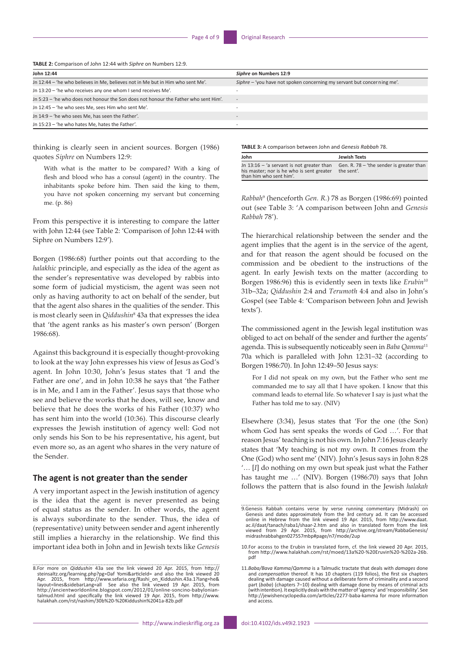**TABLE 2:** Comparison of John 12:44 with *Siphre* on Numbers 12:9.

| John 12:44                                                                          | Siphre on Numbers 12:9                                                  |
|-------------------------------------------------------------------------------------|-------------------------------------------------------------------------|
| Jn 12:44 - 'he who believes in Me, believes not in Me but in Him who sent Me'.      | Siphre – 'you have not spoken concerning my servant but concerning me'. |
| Jn 13:20 - 'he who receives any one whom I send receives Me'.                       |                                                                         |
| Jn 5:23 - 'he who does not honour the Son does not honour the Father who sent Him'. |                                                                         |
| Jn 12:45 - 'he who sees Me, sees Him who sent Me'.                                  |                                                                         |
| Jn 14:9 - 'he who sees Me, has seen the Father'.                                    | $\overline{\phantom{0}}$                                                |
| Jn 15:23 - 'he who hates Me, hates the Father'.                                     |                                                                         |

thinking is clearly seen in ancient sources. Borgen (1986) quotes *Siphre* on Numbers 12:9:

With what is the matter to be compared? With a king of flesh and blood who has a consul (agent) in the country. The inhabitants spoke before him. Then said the king to them, you have not spoken concerning my servant but concerning me. (p. 86)

From this perspective it is interesting to compare the latter with John 12:44 (see Table 2: 'Comparison of John 12:44 with Siphre on Numbers 12:9').

Borgen (1986:68) further points out that according to the *halakhic* principle, and especially as the idea of the agent as the sender's representative was developed by rabbis into some form of judicial mysticism, the agent was seen not only as having authority to act on behalf of the sender, but that the agent also shares in the qualities of the sender. This is most clearly seen in *Qiddushin*<sup>8</sup> 43a that expresses the idea that 'the agent ranks as his master's own person' (Borgen 1986:68).

Against this background it is especially thought-provoking to look at the way John expresses his view of Jesus as God's agent. In John 10:30, John's Jesus states that 'I and the Father are one', and in John 10:38 he says that 'the Father is in Me, and I am in the Father'. Jesus says that those who see and believe the works that he does, will see, know and believe that he does the works of his Father (10:37) who has sent him into the world (10:36). This discourse clearly expresses the Jewish institution of agency well: God not only sends his Son to be his representative, his agent, but even more so, as an agent who shares in the very nature of the Sender.

#### **The agent is not greater than the sender**

A very important aspect in the Jewish institution of agency is the idea that the agent is never presented as being of equal status as the sender. In other words, the agent is always subordinate to the sender. Thus, the idea of (representative) unity between sender and agent inherently still implies a hierarchy in the relationship. We find this important idea both in John and in Jewish texts like *Genesis* 

**TABLE 3:** A comparison between John and *Genesis Rabbah* 78.

| John                                                                                                                | <b>Jewish Texts</b>                                      |
|---------------------------------------------------------------------------------------------------------------------|----------------------------------------------------------|
| Jn $13:16$ – 'a servant is not greater than<br>his master; nor is he who is sent greater<br>than him who sent him'. | Gen. R. $78 -$ 'the sender is greater than<br>the sent'. |

*Rabbah*<sup>9</sup> (henceforth *Gen. R.*) 78 as Borgen (1986:69) pointed out (see Table 3: 'A comparison between John and *Genesis Rabbah* 78').

The hierarchical relationship between the sender and the agent implies that the agent is in the service of the agent, and for that reason the agent should be focused on the commission and be obedient to the instructions of the agent. In early Jewish texts on the matter (according to Borgen 1986:96) this is evidently seen in texts like *Erubin*<sup>10</sup> 31b–32a; *Qiddushin* 2:4 and *Terumoth* 4:4 and also in John's Gospel (see Table 4: 'Comparison between John and Jewish texts').

The commissioned agent in the Jewish legal institution was obliged to act on behalf of the sender and further the agents' agenda. This is subsequently noticeably seen in *Baba Qamma*<sup>11</sup> 70a which is paralleled with John 12:31–32 (according to Borgen 1986:70). In John 12:49–50 Jesus says:

For I did not speak on my own, but the Father who sent me commanded me to say all that I have spoken. I know that this command leads to eternal life. So whatever I say is just what the Father has told me to say. (NIV)

Elsewhere (3:34), Jesus states that 'For the one (the Son) whom God has sent speaks the words of God …'. For that reason Jesus' teaching is not his own. In John 7:16 Jesus clearly states that 'My teaching is not my own. It comes from the One (God) who sent me' (NIV). John's Jesus says in John 8:28 '… [*I*] do nothing on my own but speak just what the Father has taught me …' (NIV). Borgen (1986:70) says that John follows the pattern that is also found in the Jewish *halakah* 

10.For access to the Erubin in translated form, cf. the link viewed 20 Apr. 2015, from [http://www.halakhah.com/rst/moed/13a%20-%20Eruvin%20-%202a-26b.](http://www.halakhah.com/rst/moed/13a%20-%20Eruvin%20-%202a-26b.pdf) [pdf](http://www.halakhah.com/rst/moed/13a%20-%20Eruvin%20-%202a-26b.pdf)

<sup>8.</sup>For more on *Qiddushin* 43a see the link viewed 20 Apr. 2015, from [http://](http://steinsaltz.org/learning.php?pg=Daf)<br>[steinsaltz.org/learning.php?pg=Daf](http://steinsaltz.org/learning.php?pg=Daf) Yomi&articleId= and also the link viewed 20<br>Apr. 2015, from http://www.sefaria.org/Rashi\_on\_Kiddushin.43a.1?la http://ancientworldonline.blogspot.com/2012/01/online-soncino-babylonian-<br>[talmud.html](http://ancientworldonline.blogspot.com/2012/01/online-soncino-babylonian-talmud.html) and specifically the link viewed 19 Apr. 2015, from [http://www.](http://www.halakhah.com/rst/nashim/30b%20-%20Kiddushin%2041a-82b.pdf)<br>[halakhah.com/rst/nashim/30b%20-%20Kiddushin%2041a-82b.pdf](http://www.halakhah.com/rst/nashim/30b%20-%20Kiddushin%2041a-82b.pdf)

<sup>9.</sup>Genesis Rabbah contains verse by verse running commentary (Midrash) on Genesis and dates approximately from the 3rd century ad. It can be accessed<br>online in Hebrew from the link viewed 19 Apr. 2015, from [http://www.daat.](http://www.daat.ac.il/daat/tanach/raba1/shaar-2.htm)<br>[ac.il/daat/tanach/raba1/shaar-2.htm](http://www.daat.ac.il/daat/tanach/raba1/shaar-2.htm) and also in translated form from the viewed from 29 Apr. 2015, from [http://archive.org/stream/RabbaGenesis/](http://archive.org/stream/RabbaGenesis/midrashrabbahgen027557mbp#page/n7/mode/2up) [midrashrabbahgen027557mbp](http://archive.org/stream/RabbaGenesis/midrashrabbahgen027557mbp#page/n7/mode/2up)#page/n7/mode/2up

<sup>11.</sup>*Baba/Bava Kamma*/*Qamma* is a Talmudic tractate that deals with *damages* done and *compensation* thereof. It has 10 chapters (119 folios), the first six chapters dealing with damage caused without a deliberate form of criminality and a second part (*baba*) (chapters 7–10) dealing with damage done by means of criminal acts (with intention). It explicitly deals with the matter of 'agency' and 'responsibility'. See [http://jewishencyclopedia.com/articles/2277](http://jewishencyclopedia.com/articles/2277-baba-kamma)-baba-kamma for more information and access.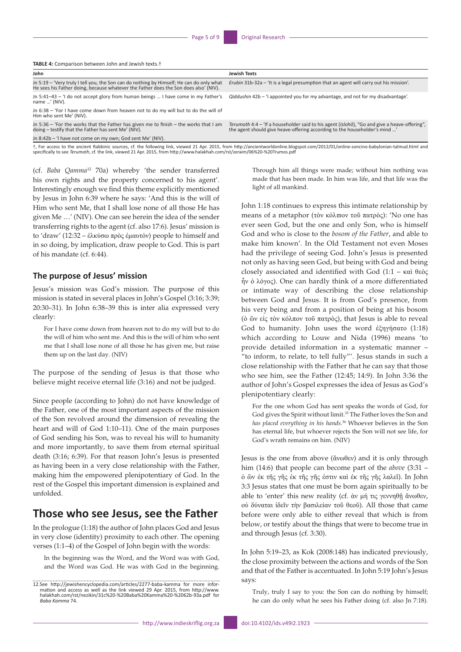**TABLE 4:** Comparison between John and Jewish texts.†

| John                                                                                                                                                                             | <b>Jewish Texts</b>                                                                                                                                                        |
|----------------------------------------------------------------------------------------------------------------------------------------------------------------------------------|----------------------------------------------------------------------------------------------------------------------------------------------------------------------------|
| Jn 5:19 – 'Very truly I tell you, the Son can do nothing by Himself; He can do only what<br>He sees his Father doing, because whatever the Father does the Son does also' (NIV). | Erubin 31b-32a – 'It is a legal presumption that an agent will carry out his mission'.                                                                                     |
| Jn 5:41–43 – 'I do not accept glory from human beings  I have come in my Father's<br>name $\ldots'$ (NIV).                                                                       | Qiddushin 42b – 'I appointed you for my advantage, and not for my disadvantage'.                                                                                           |
| Jn 6:38 - 'For I have come down from heaven not to do my will but to do the will of<br>Him who sent Me' (NIV).                                                                   |                                                                                                                                                                            |
| Jn 5:36 - 'For the works that the Father has given me to finish - the works that I am<br>doing – testify that the Father has sent Me' (NIV).                                     | Terumoth 4:4 – 'If a householder said to his agent (Islohô), "Go and give a heave-offering",<br>the agent should give heave-offering according to the householder's mind ' |
| Jn 8:42b – 'I have not come on my own; God sent Me' (NIV).                                                                                                                       |                                                                                                                                                                            |

†, [For](19.For) access to the ancient Rabbinic sources, cf. the following link, viewed 21 Apr. 2015, from <http://ancientworldonline.blogspot.com/2012/01/online-soncino-babylonian-talmud.html>and specifically to see *Terumoth*, cf. the link, viewed 21 Apr. 2015, from<http://www.halakhah.com/rst/zeraim/06%20-%20Trumos.pdf>

(cf. *Baba Qamma*<sup>12</sup> 70a) whereby 'the sender transferred his own rights and the property concerned to his agent'. Interestingly enough we find this theme explicitly mentioned by Jesus in John 6:39 where he says: 'And this is the will of Him who sent Me, that I shall lose none of all those He has given Me …' (NIV). One can see herein the idea of the sender transferring rights to the agent (cf. also 17:6). Jesus' mission is to 'draw' (12:32 – ἑλκύσω πρὸς ἐμαυτόν) people to himself and in so doing, by implication, draw people to God. This is part of his mandate (cf. 6:44).

#### **The purpose of Jesus' mission**

Jesus's mission was God's mission. The purpose of this mission is stated in several places in John's Gospel (3:16; 3:39; 20:30–31). In John 6:38–39 this is inter alia expressed very clearly:

For I have come down from heaven not to do my will but to do the will of him who sent me. And this is the will of him who sent me that I shall lose none of all those he has given me, but raise them up on the last day. (NIV)

The purpose of the sending of Jesus is that those who believe might receive eternal life (3:16) and not be judged.

Since people (according to John) do not have knowledge of the Father, one of the most important aspects of the mission of the Son revolved around the dimension of revealing the heart and will of God 1:10–11). One of the main purposes of God sending his Son, was to reveal his will to humanity and more importantly, to save them from eternal spiritual death (3:16; 6:39). For that reason John's Jesus is presented as having been in a very close relationship with the Father, making him the empowered plenipotentiary of God. In the rest of the Gospel this important dimension is explained and unfolded.

### **Those who see Jesus, see the Father**

In the prologue (1:18) the author of John places God and Jesus in very close (identity) proximity to each other. The opening verses (1:1–4) of the Gospel of John begin with the words:

In the beginning was the Word, and the Word was with God, and the Word was God. He was with God in the beginning. Through him all things were made; without him nothing was made that has been made. In him was life, and that life was the light of all mankind.

John 1:18 continues to express this intimate relationship by means of a metaphor (τὸν κόλπον τοῦ πατρὸς): 'No one has ever seen God, but the one and only Son, who is himself God and who is close to the *bosom of the Father*, and able to make him known'. In the Old Testament not even Moses had the privilege of seeing God. John's Jesus is presented not only as having seen God, but being with God and being closely associated and identified with God (1:1 – καὶ θεὸς ἦν ὁ λόγος). One can hardly think of a more differentiated or intimate way of describing the close relationship between God and Jesus. It is from God's presence, from his very being and from a position of being at his bosom (ὁ ὢν εἰς τὸν κόλπον τοῦ πατρὸς), that Jesus is able to reveal God to humanity. John uses the word ἐξηγήσατο (1:18) which according to Louw and Nida (1996) means 'to provide detailed information in a systematic manner – "to inform, to relate, to tell fully"'. Jesus stands in such a close relationship with the Father that he can say that those who see him, see the Father (12:45; 14:9). In John 3:36 the author of John's Gospel expresses the idea of Jesus as God's plenipotentiary clearly:

For the one whom God has sent speaks the words of God, for God gives the Spirit without limit.<sup>35</sup> The Father loves the Son and *has placed everything in his hands*. 36 Whoever believes in the Son has eternal life, but whoever rejects the Son will not see life, for God's wrath remains on him. (NIV)

Jesus is the one from above (ἄνωθεν) and it is only through him (14:6) that people can become part of the *above* (3:31 – ὁ ὢν ἐκ τῆς γῆς ἐκ τῆς γῆς ἐστιν καὶ ἐκ τῆς γῆς λαλεῖ). In John 3:3 Jesus states that one must be born again spiritually to be able to 'enter' this new reality (cf. ὰν μή τις γεννηθῇ ἄνωθεν, οὐ δύναται ἰδεῖν τὴν βασιλείαν τοῦ θεοῦ). All those that came before were only able to either reveal that which is from below, or testify about the things that were to become true in and through Jesus (cf. 3:30).

In John 5:19–23, as Kok (2008:148) has indicated previously, the close proximity between the actions and words of the Son and that of the Father is accentuated. In John 5:19 John's Jesus says:

Truly, truly I say to you: the Son can do nothing by himself; he can do only what he sees his Father doing (cf. also Jn 7:18).

<sup>12.</sup>See [http://jewishencyclopedia.com/articles/2277-](http://jewishencyclopedia.com/articles/2277-baba-kamma)baba-kamma for more information and access as well as the link viewed 29 Apr. 2015, from [http://www.](http://www.halakhah.com/rst/nezikin/31c%20-%20Baba%20Kamma%20-%2062b-93a.pdf) [halakhah.com/rst/nezikin/31c%20-%20Baba%20Kamma%20-%2062b-93a.pdf](http://www.halakhah.com/rst/nezikin/31c%20-%20Baba%20Kamma%20-%2062b-93a.pdf) for *Baba Kamma* 74.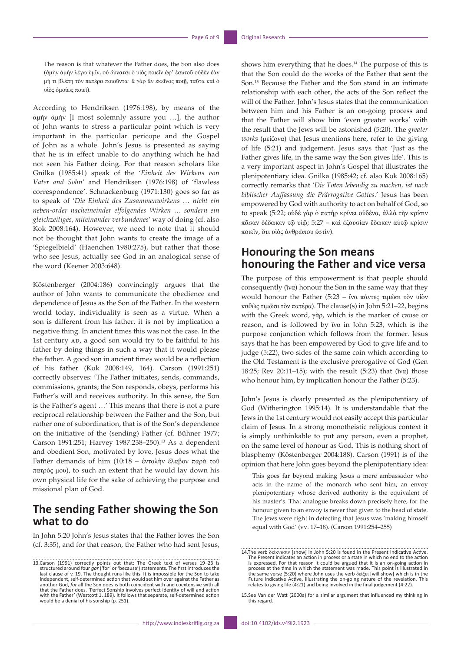The reason is that whatever the Father does, the Son also does (ἀμὴν ἀμὴν λέγω ὑμῖν, οὐ δύναται ὁ υἱὸς ποιεῖν ἀφ' ἑαυτοῦ οὐδὲν ἐὰν μή τι βλέπῃ τὸν πατέρα ποιοῦντα· ἃ γὰρ ἂν ἐκεῖνος ποιῇ, ταῦτα καὶ ὁ υἱὸς ὁμοίως ποιεῖ).

According to Hendriksen (1976:198), by means of the ἀμὴν ἀμὴν [I most solemnly assure you …], the author of John wants to stress a particular point which is very important in the particular pericope and the Gospel of John as a whole. John's Jesus is presented as saying that he is in effect unable to do anything which he had not seen his Father doing. For that reason scholars like Gnilka (1985:41) speak of the '*Einheit des Wirkens von Vater and Sohn*' and Hendriksen (1976:198) of 'flawless correspondence'. Schnackenburg (1971:130) goes so far as to speak of '*Die Einheit des Zusammenwirkens … nicht ein neben-order nacheineinder elfolgendes Wirken … sondern ein gleichzeitiges, miteinander verbundenes*' way of doing (cf. also Kok 2008:164). However, we need to note that it should not be thought that John wants to create the image of a 'Spiegelbield' (Haenchen 1980:275), but rather that those who see Jesus, actually see God in an analogical sense of the word (Keener 2003:648).

Köstenberger (2004:186) convincingly argues that the author of John wants to communicate the obedience and dependence of Jesus as the Son of the Father. In the western world today, individuality is seen as a virtue. When a son is different from his father, it is not by implication a negative thing. In ancient times this was not the case. In the 1st century AD, a good son would try to be faithful to his father by doing things in such a way that it would please the father. A good son in ancient times would be a reflection of his father (Kok 2008:149, 164). Carson (1991:251) correctly observes: 'The Father initiates, sends, commands, commissions, grants; the Son responds, obeys, performs his Father's will and receives authority. In this sense, the Son is the Father's agent …' This means that there is not a pure reciprocal relationship between the Father and the Son, but rather one of subordination, that is of the Son's dependence on the initiative of the (sending) Father (cf. Bühner 1977; Carson 1991:251; Harvey 1987:238-250).<sup>13</sup> As a dependent and obedient Son, motivated by love, Jesus does what the Father demands of him (10:18 – ἐντολὴν ἔλαβον παρὰ τοῦ πατρός μου), to such an extent that he would lay down his own physical life for the sake of achieving the purpose and missional plan of God.

# **The sending Father showing the Son what to do**

In John 5:20 John's Jesus states that the Father loves the Son (cf. 3:35), and for that reason, the Father who had sent Jesus, shows him everything that he does.14 The purpose of this is that the Son could do the works of the Father that sent the Son.15 Because the Father and the Son stand in an intimate relationship with each other, the acts of the Son reflect the will of the Father. John's Jesus states that the communication between him and his Father is an on-going process and that the Father will show him 'even greater works' with the result that the Jews will be astonished (5:20). The *greater works* (μείζονα) that Jesus mentions here, refer to the giving of life (5:21) and judgement. Jesus says that 'Just as the Father gives life, in the same way the Son gives life'. This is a very important aspect in John's Gospel that illustrates the plenipotentiary idea. Gnilka (1985:42; cf. also Kok 2008:165) correctly remarks that '*Die Toten lebendig zu machen, ist nach biblischer Auffassung die Prärrogative Gottes*.' Jesus has been empowered by God with authority to act on behalf of God, so to speak (5:22; οὐδὲ γὰρ ὁ πατὴρ κρίνει οὐδένα, ἀλλὰ τὴν κρίσιν πᾶσαν δέδωκεν τῷ υἱῷ; 5:27 – καὶ ἐξουσίαν ἔδωκεν αὐτῷ κρίσιν ποιεῖν, ὅτι υἱὸς ἀνθρώπου ἐστίν).

### **Honouring the Son means honouring the Father and vice versa**

The purpose of this empowerment is that people should consequently (ἵνα) honour the Son in the same way that they would honour the Father (5:23 – ἵνα πάντες τιμῶσι τὸν υἱὸν καθὼς τιμῶσι τὸν πατέρα). The clause(s) in John 5:21–22, begins with the Greek word, γὰρ, which is the marker of cause or reason, and is followed by ἵνα in John 5:23, which is the purpose conjunction which follows from the former. Jesus says that he has been empowered by God to give life and to judge (5:22), two sides of the same coin which according to the Old Testament is the exclusive prerogative of God (Gen 18:25; Rev 20:11–15); with the result (5:23) that (ἵνα) those who honour him, by implication honour the Father (5:23).

John's Jesus is clearly presented as the plenipotentiary of God (Witherington 1995:14). It is understandable that the Jews in the 1st century would not easily accept this particular claim of Jesus. In a strong monotheistic religious context it is simply unthinkable to put any person, even a prophet, on the same level of honour as God. This is nothing short of blasphemy (Köstenberger 2004:188). Carson (1991) is of the opinion that here John goes beyond the plenipotentiary idea:

This goes far beyond making Jesus a mere ambassador who acts in the name of the monarch who sent him, an envoy plenipotentiary whose derived authority is the equivalent of his master's. That analogue breaks down precisely here, for the honour given to an envoy is never that given to the head of state. The Jews were right in detecting that Jesus was 'making himself equal with God' (vv. 17–18). (Carson 1991:254–255)

<sup>13.</sup>Carson (1991) correctly points out that: The Greek text of verses 19–23 is structured around four *gar* ('for' or 'because') statements. The first introduces the last clause of v. 19. The thought runs like this: It is impossible for the Son to take independent, self-determined action that would set him over against the Father as<br>another God, *for* all the Son does is both coincident with and coextensive with all<br>that the Father does. 'Perfect Sonship involves perfect with the Father' (Westcott 1. 189). It follows that separate, self-determined action with the Father' (Westcott 1. 189). It follows that separate, self-determined action would be a denial of his sonship (p. 251).

<sup>14.</sup>The verb δείκνυσιν [show] in John 5:20 is found in the Present Indicative Active. The Present indicates an action in process or a state in which no end to the action is expressed. For that reason it could be argued that it is an on-going action in process at the time in which the statement was made. This point is illustrated in the same verse (5:20) where John uses the verb δείξει [will show] which is in the Future Indicative Active, illustrating the on-going nature of the revelation. This relates to giving life (4:21) and being involved in the final judgement (4:22).

<sup>15.</sup>See Van der Watt (2000a) for a similar argument that influenced my thinking in this regard.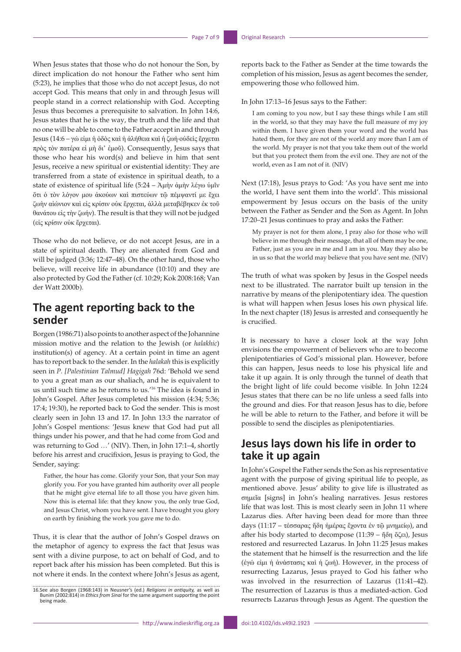When Jesus states that those who do not honour the Son, by direct implication do not honour the Father who sent him (5:23), he implies that those who do not accept Jesus, do not accept God. This means that only in and through Jesus will people stand in a correct relationship with God. Accepting Jesus thus becomes a prerequisite to salvation. In John 14:6, Jesus states that he is the way, the truth and the life and that no one will be able to come to the Father accept in and through Jesus (14:6 – γώ εἰμι ἡ ὁδὸς καὶ ἡ ἀλήθεια καὶ ἡ ζωή·οὐδεὶς ἔρχεται πρὸς τὸν πατέρα εἰ μὴ δι' ἐμοῦ). Consequently, Jesus says that those who hear his word(s) and believe in him that sent Jesus, receive a new spiritual or existential identity: They are transferred from a state of existence in spiritual death, to a state of existence of spiritual life (5:24 – Ἀμὴν ἀμὴν λέγω ὑμῖν ὅτι ὁ τὸν λόγον μου ἀκούων καὶ πιστεύων τῷ πέμψαντί με ἔχει ζωὴν αἰώνιον καὶ εἰς κρίσιν οὐκ ἔρχεται, ἀλλὰ μεταβέβηκεν ἐκ τοῦ θανάτου εἰς τὴν ζωήν). The result is that they will not be judged (εἰς κρίσιν οὐκ ἔρχεται).

Those who do not believe, or do not accept Jesus, are in a state of spiritual death. They are alienated from God and will be judged (3:36; 12:47–48). On the other hand, those who believe, will receive life in abundance (10:10) and they are also protected by God the Father (cf. 10:29; Kok 2008:168; Van der Watt 2000b).

### **The agent reporting back to the sender**

Borgen (1986:71) also points to another aspect of the Johannine mission motive and the relation to the Jewish (or *halakhic*) institution(s) of agency. At a certain point in time an agent has to report back to the sender. In the *halakah* this is explicitly seen in *P. [Palestinian Talmud] Hagigah* 76d: 'Behold we send to you a great man as our shaliach, and he is equivalent to us until such time as he returns to us.'16 The idea is found in John's Gospel. After Jesus completed his mission (4:34; 5:36; 17:4; 19:30), he reported back to God the sender. This is most clearly seen in John 13 and 17. In John 13:3 the narrator of John's Gospel mentions: 'Jesus knew that God had put all things under his power, and that he had come from God and was returning to God *…*' (NIV). Then, in John 17:1–4, shortly before his arrest and crucifixion, Jesus is praying to God, the Sender, saying:

Father, the hour has come. Glorify your Son, that your Son may glorify you. For you have granted him authority over all people that he might give eternal life to all those you have given him. Now this is eternal life: that they know you, the only true God, and Jesus Christ, whom you have sent. I have brought you glory on earth by finishing the work you gave me to do.

Thus, it is clear that the author of John's Gospel draws on the metaphor of agency to express the fact that Jesus was sent with a divine purpose, to act on behalf of God, and to report back after his mission has been completed. But this is not where it ends. In the context where John's Jesus as agent, reports back to the Father as Sender at the time towards the completion of his mission, Jesus as agent becomes the sender, empowering those who followed him.

In John 17:13–16 Jesus says to the Father:

I am coming to you now, but I say these things while I am still in the world, so that they may have the full measure of my joy within them. I have given them your word and the world has hated them, for they are not of the world any more than I am of the world. My prayer is not that you take them out of the world but that you protect them from the evil one. They are not of the world, even as I am not of it. (NIV)

Next (17:18), Jesus prays to God: 'As you have sent me into the world, I have sent them into the world'. This missional empowerment by Jesus occurs on the basis of the unity between the Father as Sender and the Son as Agent. In John 17:20–21 Jesus continues to pray and asks the Father:

My prayer is not for them alone, I pray also for those who will believe in me through their message, that all of them may be one, Father, just as you are in me and I am in you. May they also be in us so that the world may believe that you have sent me. (NIV)

The truth of what was spoken by Jesus in the Gospel needs next to be illustrated. The narrator built up tension in the narrative by means of the plenipotentiary idea. The question is what will happen when Jesus loses his own physical life. In the next chapter (18) Jesus is arrested and consequently he is crucified.

It is necessary to have a closer look at the way John envisions the empowerment of believers who are to become plenipotentiaries of God's missional plan. However, before this can happen, Jesus needs to lose his physical life and take it up again. It is only through the tunnel of death that the bright light of life could become visible. In John 12:24 Jesus states that there can be no life unless a seed falls into the ground and dies. For that reason Jesus has to die, before he will be able to return to the Father, and before it will be possible to send the disciples as plenipotentiaries.

## **Jesus lays down his life in order to take it up again**

In John's Gospel the Father sends the Son as his representative agent with the purpose of giving spiritual life to people, as mentioned above. Jesus' ability to give life is illustrated as σημεῖα [signs] in John's healing narratives. Jesus restores life that was lost. This is most clearly seen in John 11 where Lazarus dies. After having been dead for more than three days (11:17 – τέσσαρας ἤδη ἡμέρας ἔχοντα ἐν τῷ μνημείῳ), and after his body started to decompose (11:39 – ἤδη ὄζει), Jesus restored and resurrected Lazarus. In John 11:25 Jesus makes the statement that he himself is the resurrection and the life (ἐγώ εἰμι ἡ ἀνάστασις καὶ ἡ ζωή). However, in the process of resurrecting Lazarus, Jesus prayed to God his father who was involved in the resurrection of Lazarus (11:41–42). The resurrection of Lazarus is thus a mediated-action. God resurrects Lazarus through Jesus as Agent. The question the

<sup>16.</sup>See also Borgen (1968:143) in Neusner's (ed.) *Religions in antiquity,* as well as Bunim (2002:814) in *Ethics from Sinai* for the same argument supporting the point being made.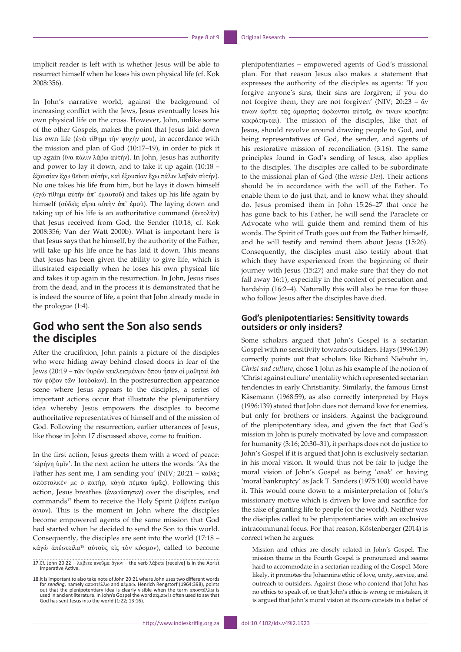implicit reader is left with is whether Jesus will be able to resurrect himself when he loses his own physical life (cf. Kok 2008:356).

In John's narrative world, against the background of increasing conflict with the Jews, Jesus eventually loses his own physical life on the cross. However, John, unlike some of the other Gospels, makes the point that Jesus laid down his own life (ἐγὼ τίθημι τὴν ψυχήν μου), in accordance with the mission and plan of God (10:17–19), in order to pick it up again (ἵνα πάλιν λάβω αὐτήν). In John, Jesus has authority and power to lay it down, and to take it up again (10:18 – ἐξουσίαν ἔχω θεῖναι αὐτήν, καὶ ἐξουσίαν ἔχω πάλιν λαβεῖν αὐτήν). No one takes his life from him, but he lays it down himself (ἐγὼ τίθημι αὐτὴν ἀπ' ἐμαυτοῦ) and takes up his life again by himself (οὐδεὶς αἴρει αὐτὴν ἀπ' ἐμοῦ). The laying down and taking up of his life is an authoritative command (ἐντολὴν) that Jesus received from God, the Sender (10:18; cf. Kok 2008:356; Van der Watt 2000b). What is important here is that Jesus says that he himself, by the authority of the Father, will take up his life once he has laid it down. This means that Jesus has been given the ability to give life, which is illustrated especially when he loses his own physical life and takes it up again in the resurrection. In John, Jesus rises from the dead, and in the process it is demonstrated that he is indeed the source of life, a point that John already made in the prologue (1:4).

### **God who sent the Son also sends the disciples**

After the crucifixion, John paints a picture of the disciples who were hiding away behind closed doors in fear of the Jews (20:19 – τῶν θυρῶν κεκλεισμένων ὅπου ἦσαν οἱ μαθηταὶ διὰ τὸν φόβον τῶν Ἰουδαίων). In the postresurrection appearance scene where Jesus appears to the disciples, a series of important actions occur that illustrate the plenipotentiary idea whereby Jesus empowers the disciples to become authoritative representatives of himself and of the mission of God. Following the resurrection, earlier utterances of Jesus, like those in John 17 discussed above, come to fruition.

In the first action, Jesus greets them with a word of peace: 'εἰρήνη ὑμῖν'. In the next action he utters the words: 'As the Father has sent me, I am sending you' (NIV; 20:21 – καθὼς ἀπέσταλκέν με ὁ πατήρ, κἀγὼ πέμπω ὑμᾶς). Following this action, Jesus breathes (ἐνεφύσησεν) over the disciples, and commands<sup>17</sup> them to receive the Holy Spirit (λάβετε πνεῦμα ἅγιον). This is the moment in John where the disciples become empowered agents of the same mission that God had started when he decided to send the Son to this world. Consequently, the disciples are sent into the world (17:18 – κἀγὼ ἀπέστειλα<sup>18</sup> αὐτοὺς εἰς τὸν κόσμον), called to become plenipotentiaries – empowered agents of God's missional plan. For that reason Jesus also makes a statement that expresses the authority of the disciples as agents: 'If you forgive anyone's sins, their sins are forgiven; if you do not forgive them, they are not forgiven' (NIV; 20:23 – ἄν τινων ἀφῆτε τὰς ἁμαρτίας ἀφέωνται αὐτοῖς, ἄν τινων κρατῆτε κεκράτηνται). The mission of the disciples, like that of Jesus, should revolve around drawing people to God, and being representatives of God, the sender, and agents of his restorative mission of reconciliation (3:16). The same principles found in God's sending of Jesus, also applies to the disciples. The disciples are called to be subordinate to the missional plan of God (the *missio Dei*). Their actions should be in accordance with the will of the Father. To enable them to do just that, and to know what they should do, Jesus promised them in John 15:26–27 that once he has gone back to his Father, he will send the Paraclete or Advocate who will guide them and remind them of his words. The Spirit of Truth goes out from the Father himself, and he will testify and remind them about Jesus (15:26). Consequently, the disciples must also testify about that which they have experienced from the beginning of their journey with Jesus (15:27) and make sure that they do not fall away 16:1), especially in the context of persecution and hardship (16:2–4). Naturally this will also be true for those who follow Jesus after the disciples have died.

### **God's plenipotentiaries: Sensitivity towards outsiders or only insiders?**

Some scholars argued that John's Gospel is a sectarian Gospel with no sensitivity towards outsiders. Hays (1996:139) correctly points out that scholars like Richard Niebuhr in, *Christ and culture*, chose 1 John as his example of the notion of 'Christ against culture' mentality which represented sectarian tendencies in early Christianity. Similarly, the famous Ernst Käsemann (1968:59), as also correctly interpreted by Hays (1996:139) stated that John does not demand love for enemies, but only for brothers or insiders. Against the background of the plenipotentiary idea, and given the fact that God's mission in John is purely motivated by love and compassion for humanity (3:16; 20:30–31), it perhaps does not do justice to John's Gospel if it is argued that John is exclusively sectarian in his moral vision. It would thus not be fair to judge the moral vision of John's Gospel as being '*weak'* or having 'moral bankruptcy' as Jack T. Sanders (1975:100) would have it. This would come down to a misinterpretation of John's missionary motive which is driven by love and sacrifice for the sake of granting life to people (or the world). Neither was the disciples called to be plenipotentiaries with an exclusive intracommunal focus. For that reason, Köstenberger (2014) is correct when he argues:

Mission and ethics are closely related in John's Gospel. The mission theme in the Fourth Gospel is pronounced and seems hard to accommodate in a sectarian reading of the Gospel. More likely, it promotes the Johannine ethic of love, unity, service, and outreach to outsiders. Against those who contend that John has no ethics to speak of, or that John's ethic is wrong or mistaken, it is argued that John's moral vision at its core consists in a belief of

<sup>17.</sup>Cf. John 20:22 – λάβετε πνεῦμα ἅγιον·– the verb λάβετε [receive] is in the Aorist Imperative Active.

<sup>18.</sup>It is important to also take note of John 20:21 where John uses two different words for *sending*, namely αποστέλλω and πέμπω. Henrich Rengstorf (1964:398), points out that the plenipotentiary idea is clearly visible when the term  $αποστέλλω is$ used in ancient literature. In John's Gospel the word πέμπω is often used to say that God has sent Jesus into the world (1:22; 13:16).